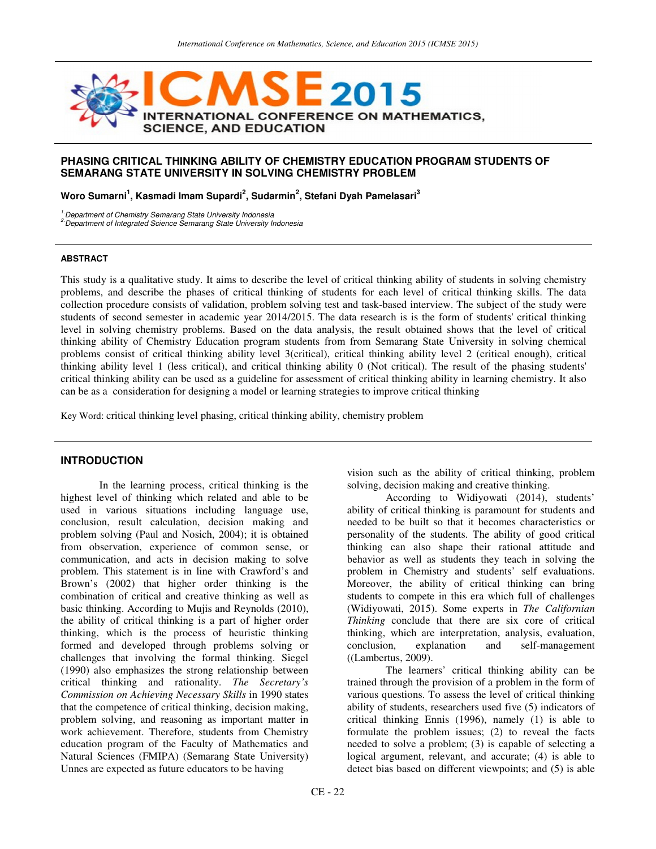

## **PHASING CRITICAL THINKING ABILITY OF CHEMISTRY EDUCATION PROGRAM STUDENTS OF SEMARANG STATE UNIVERSITY IN SOLVING CHEMISTRY PROBLEM**

**Woro Sumarni<sup>1</sup> , Kasmadi Imam Supardi<sup>2</sup> , Sudarmin<sup>2</sup> , Stefani Dyah Pamelasari<sup>3</sup>**

<sup>1.</sup>Department of Chemistry Semarang State University Indonesia

<sup>2</sup> Department of Integrated Science Semarang State University Indonesia

## **ABSTRACT**

This study is a qualitative study. It aims to describe the level of critical thinking ability of students in solving chemistry problems, and describe the phases of critical thinking of students for each level of critical thinking skills. The data collection procedure consists of validation, problem solving test and task-based interview. The subject of the study were students of second semester in academic year 2014/2015. The data research is is the form of students' critical thinking level in solving chemistry problems. Based on the data analysis, the result obtained shows that the level of critical thinking ability of Chemistry Education program students from from Semarang State University in solving chemical problems consist of critical thinking ability level 3(critical), critical thinking ability level 2 (critical enough), critical thinking ability level 1 (less critical), and critical thinking ability 0 (Not critical). The result of the phasing students' critical thinking ability can be used as a guideline for assessment of critical thinking ability in learning chemistry. It also can be as a consideration for designing a model or learning strategies to improve critical thinking

Key Word: critical thinking level phasing, critical thinking ability, chemistry problem

### **INTRODUCTION**

In the learning process, critical thinking is the highest level of thinking which related and able to be used in various situations including language use, conclusion, result calculation, decision making and problem solving (Paul and Nosich, 2004); it is obtained from observation, experience of common sense, or communication, and acts in decision making to solve problem. This statement is in line with Crawford's and Brown's (2002) that higher order thinking is the combination of critical and creative thinking as well as basic thinking. According to Mujis and Reynolds (2010), the ability of critical thinking is a part of higher order thinking, which is the process of heuristic thinking formed and developed through problems solving or challenges that involving the formal thinking. Siegel (1990) also emphasizes the strong relationship between critical thinking and rationality. *The Secretary's Commission on Achieving Necessary Skills* in 1990 states that the competence of critical thinking, decision making, problem solving, and reasoning as important matter in work achievement. Therefore, students from Chemistry education program of the Faculty of Mathematics and Natural Sciences (FMIPA) (Semarang State University) Unnes are expected as future educators to be having

vision such as the ability of critical thinking, problem solving, decision making and creative thinking.

According to Widiyowati (2014), students' ability of critical thinking is paramount for students and needed to be built so that it becomes characteristics or personality of the students. The ability of good critical thinking can also shape their rational attitude and behavior as well as students they teach in solving the problem in Chemistry and students' self evaluations. Moreover, the ability of critical thinking can bring students to compete in this era which full of challenges (Widiyowati, 2015). Some experts in *The Californian Thinking* conclude that there are six core of critical thinking, which are interpretation, analysis, evaluation, conclusion, explanation and self-management ((Lambertus, 2009).

The learners' critical thinking ability can be trained through the provision of a problem in the form of various questions. To assess the level of critical thinking ability of students, researchers used five (5) indicators of critical thinking Ennis (1996), namely (1) is able to formulate the problem issues; (2) to reveal the facts needed to solve a problem; (3) is capable of selecting a logical argument, relevant, and accurate; (4) is able to detect bias based on different viewpoints; and (5) is able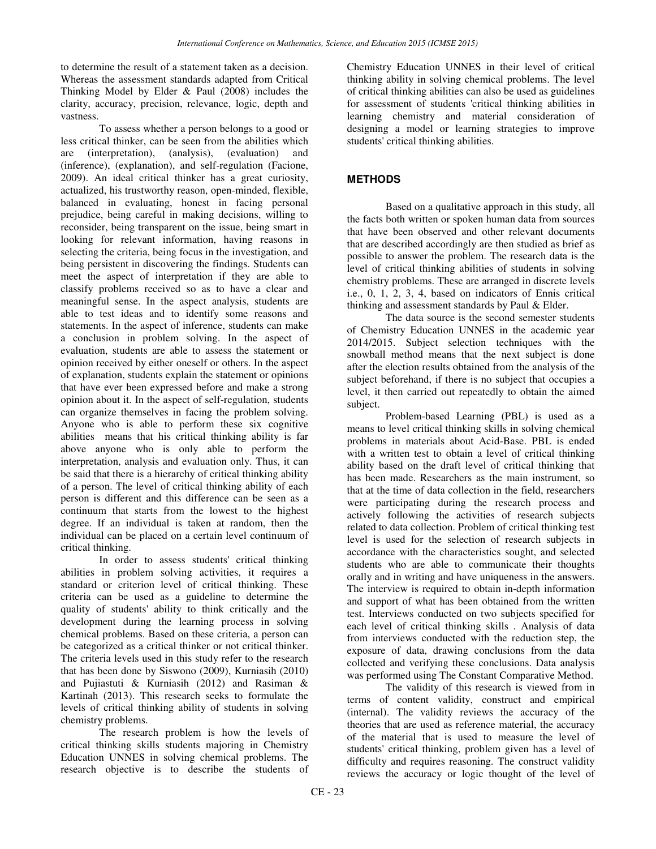to determine the result of a statement taken as a decision. Whereas the assessment standards adapted from Critical Thinking Model by Elder & Paul (2008) includes the clarity, accuracy, precision, relevance, logic, depth and vastness.

To assess whether a person belongs to a good or less critical thinker, can be seen from the abilities which are (interpretation), (analysis), (evaluation) and (inference), (explanation), and self-regulation (Facione, 2009). An ideal critical thinker has a great curiosity, actualized, his trustworthy reason, open-minded, flexible, balanced in evaluating, honest in facing personal prejudice, being careful in making decisions, willing to reconsider, being transparent on the issue, being smart in looking for relevant information, having reasons in selecting the criteria, being focus in the investigation, and being persistent in discovering the findings. Students can meet the aspect of interpretation if they are able to classify problems received so as to have a clear and meaningful sense. In the aspect analysis, students are able to test ideas and to identify some reasons and statements. In the aspect of inference, students can make a conclusion in problem solving. In the aspect of evaluation, students are able to assess the statement or opinion received by either oneself or others. In the aspect of explanation, students explain the statement or opinions that have ever been expressed before and make a strong opinion about it. In the aspect of self-regulation, students can organize themselves in facing the problem solving. Anyone who is able to perform these six cognitive abilities means that his critical thinking ability is far above anyone who is only able to perform the interpretation, analysis and evaluation only. Thus, it can be said that there is a hierarchy of critical thinking ability of a person. The level of critical thinking ability of each person is different and this difference can be seen as a continuum that starts from the lowest to the highest degree. If an individual is taken at random, then the individual can be placed on a certain level continuum of critical thinking.

In order to assess students' critical thinking abilities in problem solving activities, it requires a standard or criterion level of critical thinking. These criteria can be used as a guideline to determine the quality of students' ability to think critically and the development during the learning process in solving chemical problems. Based on these criteria, a person can be categorized as a critical thinker or not critical thinker. The criteria levels used in this study refer to the research that has been done by Siswono (2009), Kurniasih (2010) and Pujiastuti & Kurniasih (2012) and Rasiman & Kartinah (2013). This research seeks to formulate the levels of critical thinking ability of students in solving chemistry problems.

The research problem is how the levels of critical thinking skills students majoring in Chemistry Education UNNES in solving chemical problems. The research objective is to describe the students of

Chemistry Education UNNES in their level of critical thinking ability in solving chemical problems. The level of critical thinking abilities can also be used as guidelines for assessment of students 'critical thinking abilities in learning chemistry and material consideration of designing a model or learning strategies to improve students' critical thinking abilities.

# **METHODS**

Based on a qualitative approach in this study, all the facts both written or spoken human data from sources that have been observed and other relevant documents that are described accordingly are then studied as brief as possible to answer the problem. The research data is the level of critical thinking abilities of students in solving chemistry problems. These are arranged in discrete levels i.e., 0, 1, 2, 3, 4, based on indicators of Ennis critical thinking and assessment standards by Paul & Elder.

The data source is the second semester students of Chemistry Education UNNES in the academic year 2014/2015. Subject selection techniques with the snowball method means that the next subject is done after the election results obtained from the analysis of the subject beforehand, if there is no subject that occupies a level, it then carried out repeatedly to obtain the aimed subject.

Problem-based Learning (PBL) is used as a means to level critical thinking skills in solving chemical problems in materials about Acid-Base. PBL is ended with a written test to obtain a level of critical thinking ability based on the draft level of critical thinking that has been made. Researchers as the main instrument, so that at the time of data collection in the field, researchers were participating during the research process and actively following the activities of research subjects related to data collection. Problem of critical thinking test level is used for the selection of research subjects in accordance with the characteristics sought, and selected students who are able to communicate their thoughts orally and in writing and have uniqueness in the answers. The interview is required to obtain in-depth information and support of what has been obtained from the written test. Interviews conducted on two subjects specified for each level of critical thinking skills . Analysis of data from interviews conducted with the reduction step, the exposure of data, drawing conclusions from the data collected and verifying these conclusions. Data analysis was performed using The Constant Comparative Method.

The validity of this research is viewed from in terms of content validity, construct and empirical (internal). The validity reviews the accuracy of the theories that are used as reference material, the accuracy of the material that is used to measure the level of students' critical thinking, problem given has a level of difficulty and requires reasoning. The construct validity reviews the accuracy or logic thought of the level of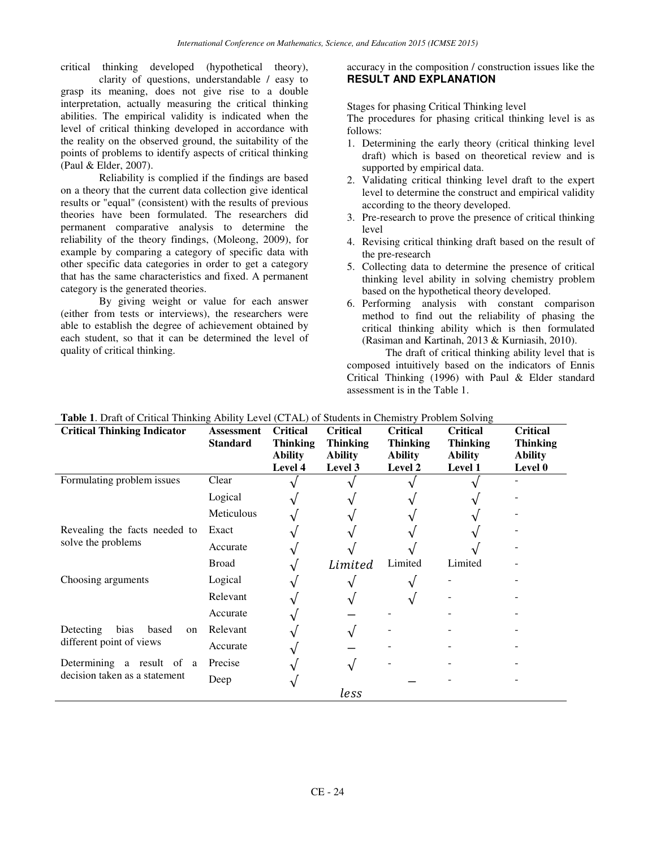critical thinking developed (hypothetical theory), accuracy in the composition / construction issues like the clarity of questions, understandable / easy to grasp its meaning, does not give rise to a double interpretation, actually measuring the critical thinking abilities. The empirical validity is indicated when the level of critical thinking developed in accordance with the reality on the observed ground, the suitability of the points of problems to identify aspects of critical thinking (Paul & Elder, 2007).

Reliability is complied if the findings are based on a theory that the current data collection give identical results or "equal" (consistent) with the results of previous theories have been formulated. The researchers did permanent comparative analysis to determine the reliability of the theory findings, (Moleong, 2009), for example by comparing a category of specific data with other specific data categories in order to get a category that has the same characteristics and fixed. A permanent category is the generated theories.

By giving weight or value for each answer (either from tests or interviews), the researchers were able to establish the degree of achievement obtained by each student, so that it can be determined the level of quality of critical thinking.

# **RESULT AND EXPLANATION**

Stages for phasing Critical Thinking level

The procedures for phasing critical thinking level is as follows:

- 1. Determining the early theory (critical thinking level draft) which is based on theoretical review and is supported by empirical data.
- 2. Validating critical thinking level draft to the expert level to determine the construct and empirical validity according to the theory developed.
- 3. Pre-research to prove the presence of critical thinking level
- 4. Revising critical thinking draft based on the result of the pre-research
- 5. Collecting data to determine the presence of critical thinking level ability in solving chemistry problem based on the hypothetical theory developed.
- 6. Performing analysis with constant comparison method to find out the reliability of phasing the critical thinking ability which is then formulated (Rasiman and Kartinah, 2013 & Kurniasih, 2010).

The draft of critical thinking ability level that is composed intuitively based on the indicators of Ennis Critical Thinking (1996) with Paul & Elder standard assessment is in the Table 1.

| <b>Critical Thinking Indicator</b>                           | <b>Assessment</b><br><b>Standard</b> | <b>Critical</b><br><b>Thinking</b><br><b>Ability</b> | <b>Critical</b><br><b>Thinking</b><br><b>Ability</b> | <b>Critical</b><br><b>Thinking</b><br><b>Ability</b> | <b>Critical</b><br><b>Thinking</b><br><b>Ability</b> | <b>Critical</b><br><b>Thinking</b><br><b>Ability</b> |
|--------------------------------------------------------------|--------------------------------------|------------------------------------------------------|------------------------------------------------------|------------------------------------------------------|------------------------------------------------------|------------------------------------------------------|
| Formulating problem issues                                   | Clear                                | Level 4                                              | Level 3                                              | Level 2                                              | <b>Level 1</b>                                       | Level 0                                              |
|                                                              | Logical                              |                                                      |                                                      |                                                      |                                                      |                                                      |
|                                                              | Meticulous                           |                                                      |                                                      |                                                      |                                                      |                                                      |
| Revealing the facts needed to<br>solve the problems          | Exact                                |                                                      |                                                      |                                                      |                                                      |                                                      |
|                                                              | Accurate                             |                                                      |                                                      |                                                      |                                                      |                                                      |
|                                                              | <b>Broad</b>                         |                                                      | Limited                                              | Limited                                              | Limited                                              |                                                      |
| Choosing arguments                                           | Logical                              |                                                      |                                                      |                                                      |                                                      |                                                      |
|                                                              | Relevant                             |                                                      |                                                      |                                                      |                                                      |                                                      |
|                                                              | Accurate                             |                                                      |                                                      |                                                      |                                                      |                                                      |
| bias<br>Detecting<br>based<br>on<br>different point of views | Relevant                             |                                                      |                                                      |                                                      |                                                      |                                                      |
|                                                              | Accurate                             |                                                      |                                                      |                                                      |                                                      |                                                      |
| Determining a result of a<br>decision taken as a statement   | Precise                              |                                                      |                                                      |                                                      |                                                      |                                                      |
|                                                              | Deep                                 |                                                      |                                                      |                                                      |                                                      |                                                      |
|                                                              |                                      |                                                      | less                                                 |                                                      |                                                      |                                                      |

**Table 1**. Draft of Critical Thinking Ability Level (CTAL) of Students in Chemistry Problem Solving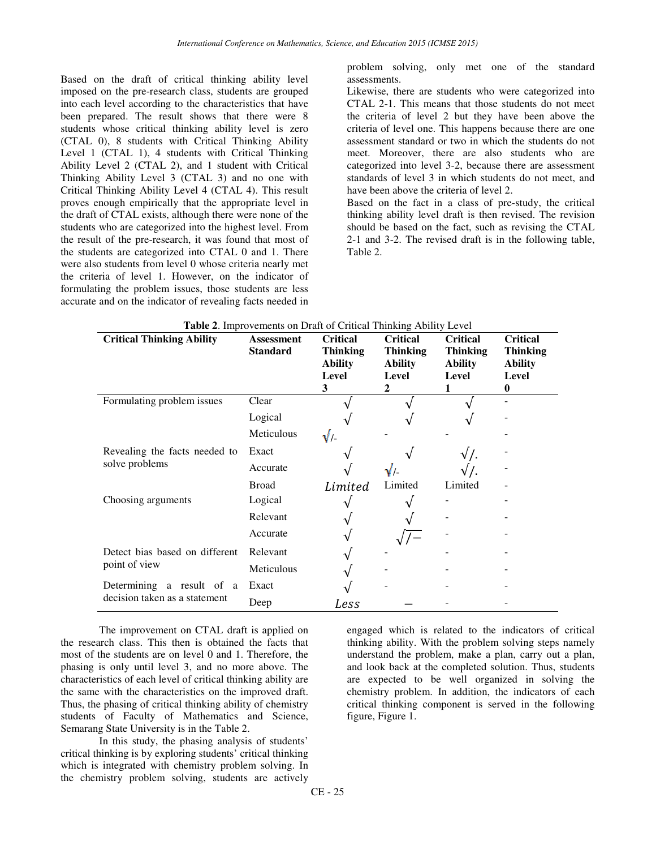Based on the draft of critical thinking ability level imposed on the pre-research class, students are grouped into each level according to the characteristics that have been prepared. The result shows that there were 8 students whose critical thinking ability level is zero (CTAL 0), 8 students with Critical Thinking Ability Level 1 (CTAL 1), 4 students with Critical Thinking Ability Level 2 (CTAL 2), and 1 student with Critical Thinking Ability Level 3 (CTAL 3) and no one with Critical Thinking Ability Level 4 (CTAL 4). This result proves enough empirically that the appropriate level in the draft of CTAL exists, although there were none of the students who are categorized into the highest level. From the result of the pre-research, it was found that most of the students are categorized into CTAL 0 and 1. There were also students from level 0 whose criteria nearly met the criteria of level 1. However, on the indicator of formulating the problem issues, those students are less accurate and on the indicator of revealing facts needed in

problem solving, only met one of the standard assessments.

Likewise, there are students who were categorized into CTAL 2-1. This means that those students do not meet the criteria of level 2 but they have been above the criteria of level one. This happens because there are one assessment standard or two in which the students do not meet. Moreover, there are also students who are categorized into level 3-2, because there are assessment standards of level 3 in which students do not meet, and have been above the criteria of level 2.

Based on the fact in a class of pre-study, the critical thinking ability level draft is then revised. The revision should be based on the fact, such as revising the CTAL 2-1 and 3-2. The revised draft is in the following table, Table 2.

| <b>Critical Thinking Ability</b>                | Assessment<br><b>Standard</b> | <b>Critical</b><br><b>Thinking</b><br><b>Ability</b><br>Level<br>3 | <b>Critical</b><br><b>Thinking</b><br><b>Ability</b><br>Level<br>2 | <b>Critical</b><br><b>Thinking</b><br>Ability<br>Level | <b>Critical</b><br><b>Thinking</b><br><b>Ability</b><br>Level<br>0 |
|-------------------------------------------------|-------------------------------|--------------------------------------------------------------------|--------------------------------------------------------------------|--------------------------------------------------------|--------------------------------------------------------------------|
| Formulating problem issues                      | Clear                         |                                                                    |                                                                    |                                                        |                                                                    |
|                                                 | Logical                       |                                                                    |                                                                    |                                                        |                                                                    |
|                                                 | Meticulous                    | $\sqrt{2}$                                                         |                                                                    |                                                        |                                                                    |
| Revealing the facts needed to<br>solve problems | Exact                         |                                                                    |                                                                    |                                                        |                                                                    |
|                                                 | Accurate                      |                                                                    | $\sqrt{ }$                                                         |                                                        |                                                                    |
|                                                 | <b>Broad</b>                  | Limited                                                            | Limited                                                            | Limited                                                |                                                                    |
| Choosing arguments                              | Logical                       |                                                                    |                                                                    |                                                        |                                                                    |
|                                                 | Relevant                      |                                                                    |                                                                    |                                                        |                                                                    |
|                                                 | Accurate                      |                                                                    |                                                                    |                                                        |                                                                    |
| Detect bias based on different<br>point of view | Relevant                      |                                                                    |                                                                    |                                                        |                                                                    |
|                                                 | Meticulous                    |                                                                    |                                                                    |                                                        |                                                                    |
| Determining a result of a                       | Exact                         |                                                                    |                                                                    |                                                        |                                                                    |
| decision taken as a statement                   | Deep                          | Less                                                               |                                                                    |                                                        |                                                                    |

| <b>Table 2.</b> Improvements on Draft of Critical Thinking Ability Level |  |  |  |
|--------------------------------------------------------------------------|--|--|--|
|--------------------------------------------------------------------------|--|--|--|

The improvement on CTAL draft is applied on the research class. This then is obtained the facts that most of the students are on level 0 and 1. Therefore, the phasing is only until level 3, and no more above. The characteristics of each level of critical thinking ability are the same with the characteristics on the improved draft. Thus, the phasing of critical thinking ability of chemistry students of Faculty of Mathematics and Science, Semarang State University is in the Table 2.

In this study, the phasing analysis of students' critical thinking is by exploring students' critical thinking which is integrated with chemistry problem solving. In the chemistry problem solving, students are actively

engaged which is related to the indicators of critical thinking ability. With the problem solving steps namely understand the problem, make a plan, carry out a plan, and look back at the completed solution. Thus, students are expected to be well organized in solving the chemistry problem. In addition, the indicators of each critical thinking component is served in the following figure, Figure 1.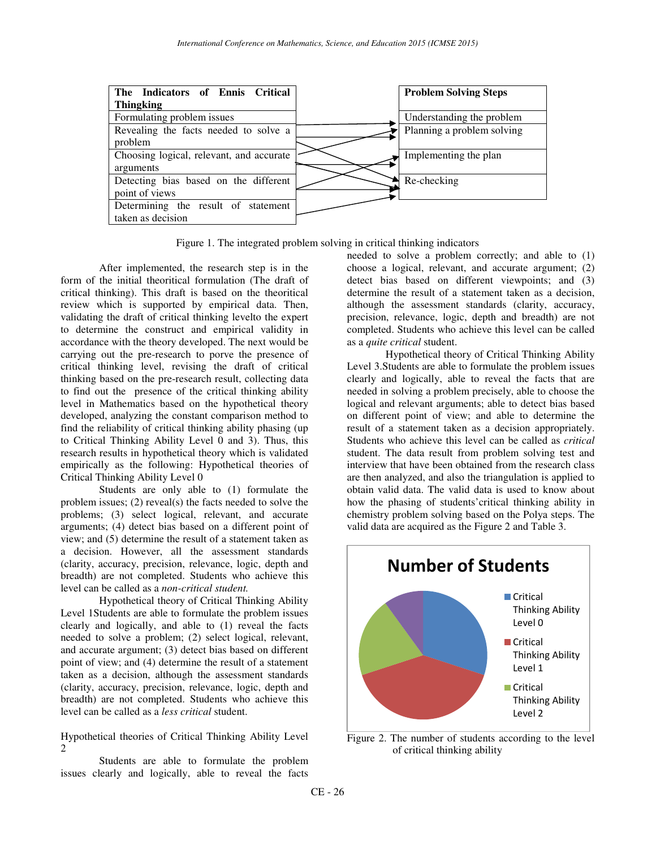

Figure 1. The integrated problem solving in critical thinking indicators

After implemented, the research step is in the form of the initial theoritical formulation (The draft of critical thinking). This draft is based on the theoritical review which is supported by empirical data. Then, validating the draft of critical thinking levelto the expert to determine the construct and empirical validity in accordance with the theory developed. The next would be carrying out the pre-research to porve the presence of critical thinking level, revising the draft of critical thinking based on the pre-research result, collecting data to find out the presence of the critical thinking ability level in Mathematics based on the hypothetical theory developed, analyzing the constant comparison method to find the reliability of critical thinking ability phasing (up to Critical Thinking Ability Level 0 and 3). Thus, this research results in hypothetical theory which is validated empirically as the following: Hypothetical theories of Critical Thinking Ability Level 0

Students are only able to (1) formulate the problem issues; (2) reveal(s) the facts needed to solve the problems; (3) select logical, relevant, and accurate arguments; (4) detect bias based on a different point of view; and (5) determine the result of a statement taken as a decision. However, all the assessment standards (clarity, accuracy, precision, relevance, logic, depth and breadth) are not completed. Students who achieve this level can be called as a *non-critical student.* 

Hypothetical theory of Critical Thinking Ability Level 1Students are able to formulate the problem issues clearly and logically, and able to (1) reveal the facts needed to solve a problem; (2) select logical, relevant, and accurate argument; (3) detect bias based on different point of view; and (4) determine the result of a statement taken as a decision, although the assessment standards (clarity, accuracy, precision, relevance, logic, depth and breadth) are not completed. Students who achieve this level can be called as a *less critical* student.

Hypothetical theories of Critical Thinking Ability Level 2

Students are able to formulate the problem issues clearly and logically, able to reveal the facts

needed to solve a problem correctly; and able to (1) choose a logical, relevant, and accurate argument; (2) detect bias based on different viewpoints; and (3) determine the result of a statement taken as a decision, although the assessment standards (clarity, accuracy, precision, relevance, logic, depth and breadth) are not completed. Students who achieve this level can be called as a *quite critical* student.

Hypothetical theory of Critical Thinking Ability Level 3.Students are able to formulate the problem issues clearly and logically, able to reveal the facts that are needed in solving a problem precisely, able to choose the logical and relevant arguments; able to detect bias based on different point of view; and able to determine the result of a statement taken as a decision appropriately. Students who achieve this level can be called as *critical* student. The data result from problem solving test and interview that have been obtained from the research class are then analyzed, and also the triangulation is applied to obtain valid data. The valid data is used to know about how the phasing of students'critical thinking ability in chemistry problem solving based on the Polya steps. The valid data are acquired as the Figure 2 and Table 3.



Figure 2. The number of students according to the level of critical thinking ability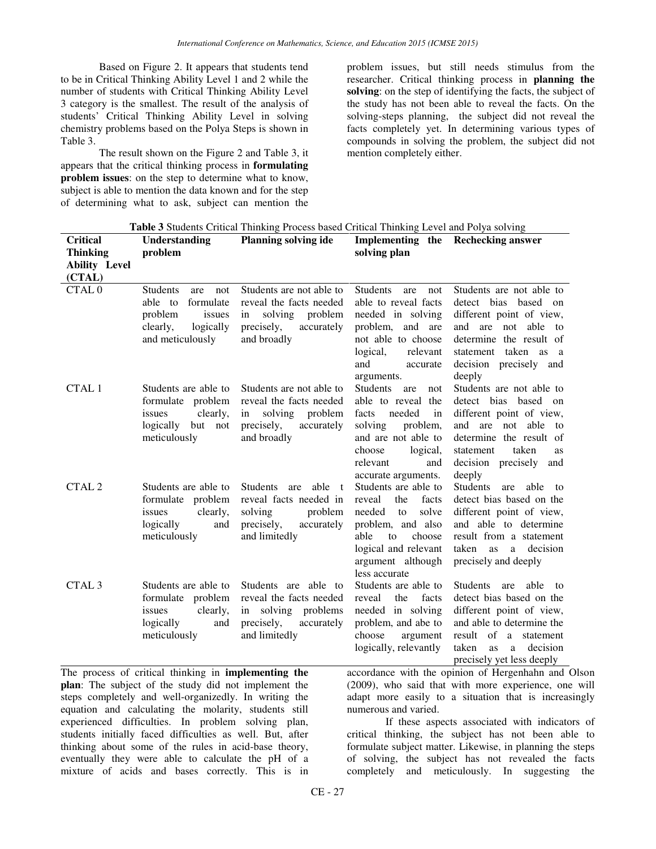Based on Figure 2. It appears that students tend to be in Critical Thinking Ability Level 1 and 2 while the number of students with Critical Thinking Ability Level 3 category is the smallest. The result of the analysis of students' Critical Thinking Ability Level in solving chemistry problems based on the Polya Steps is shown in Table 3.

The result shown on the Figure 2 and Table 3, it appears that the critical thinking process in **formulating problem issues**: on the step to determine what to know, subject is able to mention the data known and for the step of determining what to ask, subject can mention the

problem issues, but still needs stimulus from the researcher. Critical thinking process in **planning the solving**: on the step of identifying the facts, the subject of the study has not been able to reveal the facts. On the solving-steps planning, the subject did not reveal the facts completely yet. In determining various types of compounds in solving the problem, the subject did not mention completely either.

| Table 3 Students Critical Thinking Process based Critical Thinking Level and Polya solving                                                                                                                                                                                |                                                                                                                         |                                                                                                                            |                                                                                                                                                                                    |                                                                                                                                                                                                              |  |
|---------------------------------------------------------------------------------------------------------------------------------------------------------------------------------------------------------------------------------------------------------------------------|-------------------------------------------------------------------------------------------------------------------------|----------------------------------------------------------------------------------------------------------------------------|------------------------------------------------------------------------------------------------------------------------------------------------------------------------------------|--------------------------------------------------------------------------------------------------------------------------------------------------------------------------------------------------------------|--|
| <b>Critical</b>                                                                                                                                                                                                                                                           | Understanding                                                                                                           | <b>Planning solving ide</b>                                                                                                |                                                                                                                                                                                    | Implementing the Rechecking answer                                                                                                                                                                           |  |
| <b>Thinking</b>                                                                                                                                                                                                                                                           | problem                                                                                                                 |                                                                                                                            | solving plan                                                                                                                                                                       |                                                                                                                                                                                                              |  |
| <b>Ability Level</b>                                                                                                                                                                                                                                                      |                                                                                                                         |                                                                                                                            |                                                                                                                                                                                    |                                                                                                                                                                                                              |  |
| (CTAL)                                                                                                                                                                                                                                                                    |                                                                                                                         |                                                                                                                            |                                                                                                                                                                                    |                                                                                                                                                                                                              |  |
| CTAL <sub>0</sub>                                                                                                                                                                                                                                                         | <b>Students</b><br>not<br>are<br>able to<br>formulate<br>problem<br>issues<br>logically<br>clearly,<br>and meticulously | Students are not able to<br>reveal the facts needed<br>solving<br>problem<br>in<br>precisely,<br>accurately<br>and broadly | <b>Students</b><br>not<br>are<br>able to reveal facts<br>needed in solving<br>problem, and are<br>not able to choose<br>relevant<br>logical,<br>and<br>accurate<br>arguments.      | Students are not able to<br>detect bias based on<br>different point of view,<br>and are not able to<br>determine the result of<br>statement taken as a<br>decision precisely and<br>deeply                   |  |
| CTAL 1                                                                                                                                                                                                                                                                    | Students are able to<br>formulate problem<br>clearly,<br>issues<br>logically but not<br>meticulously                    | Students are not able to<br>reveal the facts needed<br>solving problem<br>in<br>precisely,<br>accurately<br>and broadly    | Students are<br>not<br>able to reveal the<br>needed<br>facts<br>in<br>solving<br>problem,<br>and are not able to<br>choose<br>logical,<br>relevant<br>and<br>accurate arguments.   | Students are not able to<br>detect bias based on<br>different point of view,<br>and are not able to<br>determine the result of<br>taken<br>statement<br><b>as</b><br>decision precisely<br>and<br>deeply     |  |
| CTAL <sub>2</sub>                                                                                                                                                                                                                                                         | Students are able to<br>formulate problem<br>clearly,<br>issues<br>logically<br>and<br>meticulously                     | Students are able t<br>reveal facts needed in<br>solving<br>problem<br>precisely,<br>accurately<br>and limitedly           | Students are able to<br>reveal<br>the<br>facts<br>needed<br>solve<br>to<br>problem, and also<br>able<br>to<br>choose<br>logical and relevant<br>argument although<br>less accurate | <b>Students</b><br>are<br>able to<br>detect bias based on the<br>different point of view,<br>and able to determine<br>result from a statement<br>taken<br>as a decision<br>precisely and deeply              |  |
| CTAL <sub>3</sub>                                                                                                                                                                                                                                                         | Students are able to<br>formulate problem<br>clearly,<br>issues<br>logically<br>and<br>meticulously                     | Students are able to<br>reveal the facts needed<br>in solving problems<br>precisely,<br>accurately<br>and limitedly        | Students are able to<br>the<br>reveal<br>facts<br>needed in solving<br>problem, and abe to<br>choose<br>argument<br>logically, relevantly                                          | <b>Students</b><br>able to<br>are<br>detect bias based on the<br>different point of view,<br>and able to determine the<br>result of a statement<br>taken<br>decision<br>as<br>a<br>precisely yet less deeply |  |
| The process of critical thinking in implementing the<br>accordance with the opinion of Hergenhahn and<br>$\mathbf{r}$ and $\mathbf{r}$ and $\mathbf{r}$ and $\mathbf{r}$ and $\mathbf{r}$ and $\mathbf{r}$ and $\mathbf{r}$ and $\mathbf{r}$<br>$(0.000)$ 1 $(1.4 + 1.4)$ |                                                                                                                         |                                                                                                                            |                                                                                                                                                                                    |                                                                                                                                                                                                              |  |

**plan**: The subject of the study did not implement the steps completely and well-organizedly. In writing the equation and calculating the molarity, students still experienced difficulties. In problem solving plan, students initially faced difficulties as well. But, after thinking about some of the rules in acid-base theory, eventually they were able to calculate the pH of a mixture of acids and bases correctly. This is in

accordance with the opinion of Hergenhahn and Olson (2009), who said that with more experience, one will adapt more easily to a situation that is increasingly numerous and varied.

If these aspects associated with indicators of critical thinking, the subject has not been able to formulate subject matter. Likewise, in planning the steps of solving, the subject has not revealed the facts completely and meticulously. In suggesting the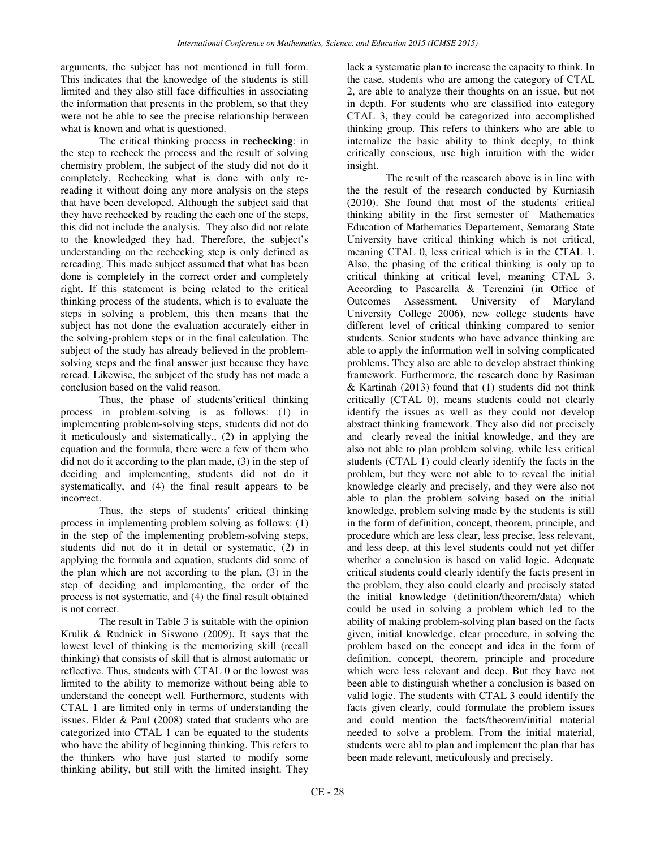arguments, the subject has not mentioned in full form. This indicates that the knowedge of the students is still limited and they also still face difficulties in associating the information that presents in the problem, so that they were not be able to see the precise relationship between what is known and what is questioned.

The critical thinking process in **rechecking**: in the step to recheck the process and the result of solving chemistry problem, the subject of the study did not do it completely. Rechecking what is done with only rereading it without doing any more analysis on the steps that have been developed. Although the subject said that they have rechecked by reading the each one of the steps, this did not include the analysis. They also did not relate to the knowledged they had. Therefore, the subject's understanding on the rechecking step is only defined as rereading. This made subject assumed that what has been done is completely in the correct order and completely right. If this statement is being related to the critical thinking process of the students, which is to evaluate the steps in solving a problem, this then means that the subject has not done the evaluation accurately either in the solving-problem steps or in the final calculation. The subject of the study has already believed in the problemsolving steps and the final answer just because they have reread. Likewise, the subject of the study has not made a conclusion based on the valid reason.

Thus, the phase of students'critical thinking process in problem-solving is as follows: (1) in implementing problem-solving steps, students did not do it meticulously and sistematically., (2) in applying the equation and the formula, there were a few of them who did not do it according to the plan made, (3) in the step of deciding and implementing, students did not do it systematically, and (4) the final result appears to be incorrect.

Thus, the steps of students' critical thinking process in implementing problem solving as follows: (1) in the step of the implementing problem-solving steps, students did not do it in detail or systematic, (2) in applying the formula and equation, students did some of the plan which are not according to the plan, (3) in the step of deciding and implementing, the order of the process is not systematic, and (4) the final result obtained is not correct.

The result in Table 3 is suitable with the opinion Krulik & Rudnick in Siswono (2009). It says that the lowest level of thinking is the memorizing skill (recall thinking) that consists of skill that is almost automatic or reflective. Thus, students with CTAL 0 or the lowest was limited to the ability to memorize without being able to understand the concept well. Furthermore, students with CTAL 1 are limited only in terms of understanding the issues. Elder & Paul (2008) stated that students who are categorized into CTAL 1 can be equated to the students who have the ability of beginning thinking. This refers to the thinkers who have just started to modify some thinking ability, but still with the limited insight. They

lack a systematic plan to increase the capacity to think. In the case, students who are among the category of CTAL 2, are able to analyze their thoughts on an issue, but not in depth. For students who are classified into category CTAL 3, they could be categorized into accomplished thinking group. This refers to thinkers who are able to internalize the basic ability to think deeply, to think critically conscious, use high intuition with the wider insight.

The result of the reasearch above is in line with the the result of the research conducted by Kurniasih (2010). She found that most of the students' critical thinking ability in the first semester of Mathematics Education of Mathematics Departement, Semarang State University have critical thinking which is not critical, meaning CTAL 0, less critical which is in the CTAL 1. Also, the phasing of the critical thinking is only up to critical thinking at critical level, meaning CTAL 3. According to Pascarella & Terenzini (in Office of Outcomes Assessment, University of Maryland University College 2006), new college students have different level of critical thinking compared to senior students. Senior students who have advance thinking are able to apply the information well in solving complicated problems. They also are able to develop abstract thinking framework. Furthermore, the research done by Rasiman & Kartinah (2013) found that (1) students did not think critically (CTAL 0), means students could not clearly identify the issues as well as they could not develop abstract thinking framework. They also did not precisely and clearly reveal the initial knowledge, and they are also not able to plan problem solving, while less critical students (CTAL 1) could clearly identify the facts in the problem, but they were not able to to reveal the initial knowledge clearly and precisely, and they were also not able to plan the problem solving based on the initial knowledge, problem solving made by the students is still in the form of definition, concept, theorem, principle, and procedure which are less clear, less precise, less relevant, and less deep, at this level students could not yet differ whether a conclusion is based on valid logic. Adequate critical students could clearly identify the facts present in the problem, they also could clearly and precisely stated the initial knowledge (definition/theorem/data) which could be used in solving a problem which led to the ability of making problem-solving plan based on the facts given, initial knowledge, clear procedure, in solving the problem based on the concept and idea in the form of definition, concept, theorem, principle and procedure which were less relevant and deep. But they have not been able to distinguish whether a conclusion is based on valid logic. The students with CTAL 3 could identify the facts given clearly, could formulate the problem issues and could mention the facts/theorem/initial material needed to solve a problem. From the initial material, students were abl to plan and implement the plan that has been made relevant, meticulously and precisely.